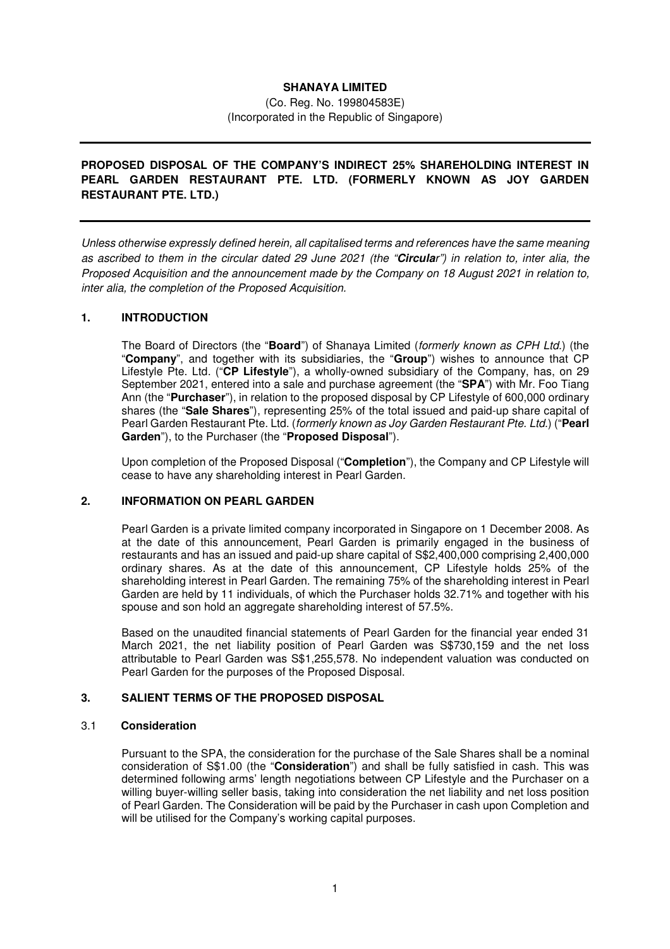# **SHANAYA LIMITED**

(Co. Reg. No. 199804583E) (Incorporated in the Republic of Singapore)

# **PROPOSED DISPOSAL OF THE COMPANY'S INDIRECT 25% SHAREHOLDING INTEREST IN PEARL GARDEN RESTAURANT PTE. LTD. (FORMERLY KNOWN AS JOY GARDEN RESTAURANT PTE. LTD.)**

Unless otherwise expressly defined herein, all capitalised terms and references have the same meaning as ascribed to them in the circular dated 29 June 2021 (the "**Circula**r") in relation to, inter alia, the Proposed Acquisition and the announcement made by the Company on 18 August 2021 in relation to, inter alia, the completion of the Proposed Acquisition.

### **1. INTRODUCTION**

The Board of Directors (the "**Board**") of Shanaya Limited (formerly known as CPH Ltd.) (the "**Company**", and together with its subsidiaries, the "**Group**") wishes to announce that CP Lifestyle Pte. Ltd. ("**CP Lifestyle**"), a wholly-owned subsidiary of the Company, has, on 29 September 2021, entered into a sale and purchase agreement (the "**SPA**") with Mr. Foo Tiang Ann (the "**Purchaser**"), in relation to the proposed disposal by CP Lifestyle of 600,000 ordinary shares (the "**Sale Shares**"), representing 25% of the total issued and paid-up share capital of Pearl Garden Restaurant Pte. Ltd. (formerly known as Joy Garden Restaurant Pte. Ltd.) ("**Pearl Garden**"), to the Purchaser (the "**Proposed Disposal**").

Upon completion of the Proposed Disposal ("**Completion**"), the Company and CP Lifestyle will cease to have any shareholding interest in Pearl Garden.

### **2. INFORMATION ON PEARL GARDEN**

Pearl Garden is a private limited company incorporated in Singapore on 1 December 2008. As at the date of this announcement, Pearl Garden is primarily engaged in the business of restaurants and has an issued and paid-up share capital of S\$2,400,000 comprising 2,400,000 ordinary shares. As at the date of this announcement, CP Lifestyle holds 25% of the shareholding interest in Pearl Garden. The remaining 75% of the shareholding interest in Pearl Garden are held by 11 individuals, of which the Purchaser holds 32.71% and together with his spouse and son hold an aggregate shareholding interest of 57.5%.

Based on the unaudited financial statements of Pearl Garden for the financial year ended 31 March 2021, the net liability position of Pearl Garden was S\$730,159 and the net loss attributable to Pearl Garden was S\$1,255,578. No independent valuation was conducted on Pearl Garden for the purposes of the Proposed Disposal.

# **3. SALIENT TERMS OF THE PROPOSED DISPOSAL**

#### 3.1 **Consideration**

Pursuant to the SPA, the consideration for the purchase of the Sale Shares shall be a nominal consideration of S\$1.00 (the "**Consideration**") and shall be fully satisfied in cash. This was determined following arms' length negotiations between CP Lifestyle and the Purchaser on a willing buyer-willing seller basis, taking into consideration the net liability and net loss position of Pearl Garden. The Consideration will be paid by the Purchaser in cash upon Completion and will be utilised for the Company's working capital purposes.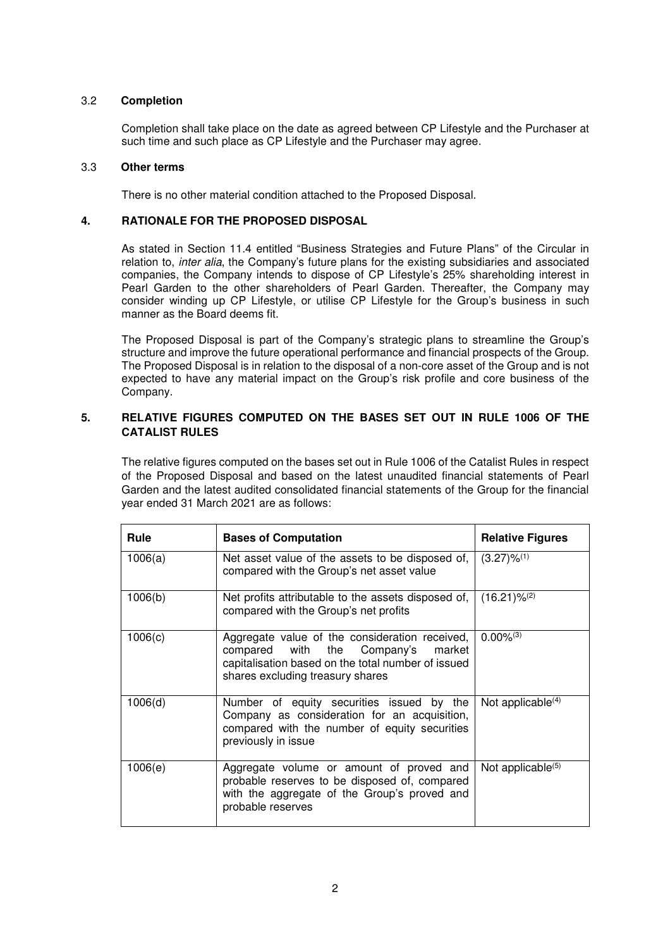## 3.2 **Completion**

Completion shall take place on the date as agreed between CP Lifestyle and the Purchaser at such time and such place as CP Lifestyle and the Purchaser may agree.

### 3.3 **Other terms**

There is no other material condition attached to the Proposed Disposal.

### **4. RATIONALE FOR THE PROPOSED DISPOSAL**

As stated in Section 11.4 entitled "Business Strategies and Future Plans" of the Circular in relation to, *inter alia*, the Company's future plans for the existing subsidiaries and associated companies, the Company intends to dispose of CP Lifestyle's 25% shareholding interest in Pearl Garden to the other shareholders of Pearl Garden. Thereafter, the Company may consider winding up CP Lifestyle, or utilise CP Lifestyle for the Group's business in such manner as the Board deems fit.

The Proposed Disposal is part of the Company's strategic plans to streamline the Group's structure and improve the future operational performance and financial prospects of the Group. The Proposed Disposal is in relation to the disposal of a non-core asset of the Group and is not expected to have any material impact on the Group's risk profile and core business of the Company.

# **5. RELATIVE FIGURES COMPUTED ON THE BASES SET OUT IN RULE 1006 OF THE CATALIST RULES**

The relative figures computed on the bases set out in Rule 1006 of the Catalist Rules in respect of the Proposed Disposal and based on the latest unaudited financial statements of Pearl Garden and the latest audited consolidated financial statements of the Group for the financial year ended 31 March 2021 are as follows:

| Rule    | <b>Bases of Computation</b>                                                                                                                                                       | <b>Relative Figures</b>   |
|---------|-----------------------------------------------------------------------------------------------------------------------------------------------------------------------------------|---------------------------|
| 1006(a) | Net asset value of the assets to be disposed of,<br>compared with the Group's net asset value                                                                                     | $(3.27)\%$ <sup>(1)</sup> |
| 1006(b) | Net profits attributable to the assets disposed of,<br>compared with the Group's net profits                                                                                      | $(16.21)\%^{(2)}$         |
| 1006(c) | Aggregate value of the consideration received,<br>compared with the Company's<br>market<br>capitalisation based on the total number of issued<br>shares excluding treasury shares | $0.00\%^{(3)}$            |
| 1006(d) | Number of equity securities issued by the<br>Company as consideration for an acquisition,<br>compared with the number of equity securities<br>previously in issue                 | Not applicable $(4)$      |
| 1006(e) | Aggregate volume or amount of proved and<br>probable reserves to be disposed of, compared<br>with the aggregate of the Group's proved and<br>probable reserves                    | Not applicable $(5)$      |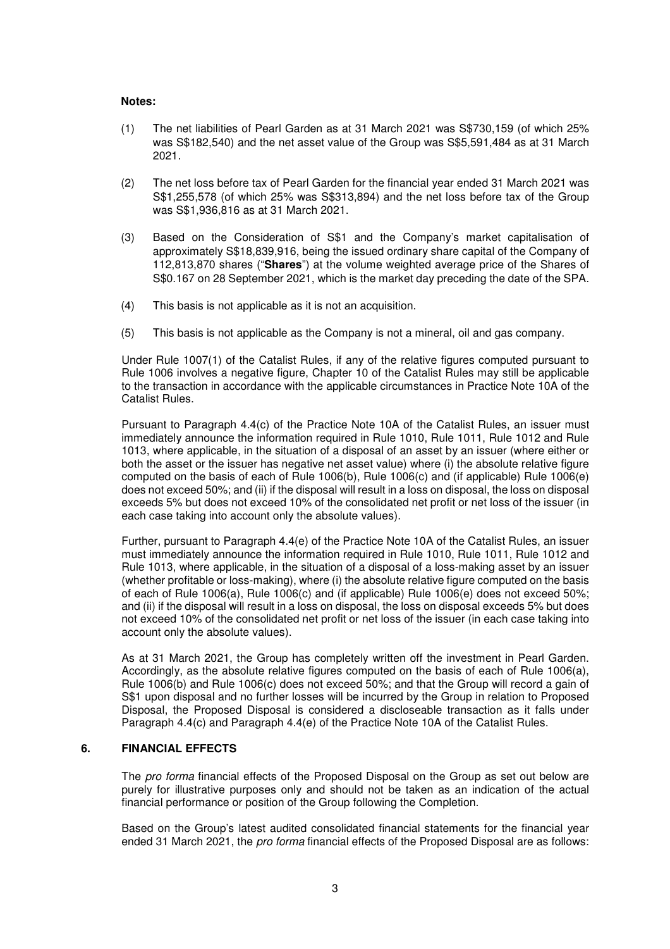#### **Notes:**

- (1) The net liabilities of Pearl Garden as at 31 March 2021 was S\$730,159 (of which 25% was S\$182,540) and the net asset value of the Group was S\$5,591,484 as at 31 March 2021.
- (2) The net loss before tax of Pearl Garden for the financial year ended 31 March 2021 was S\$1,255,578 (of which 25% was S\$313,894) and the net loss before tax of the Group was S\$1,936,816 as at 31 March 2021.
- (3) Based on the Consideration of S\$1 and the Company's market capitalisation of approximately S\$18,839,916, being the issued ordinary share capital of the Company of 112,813,870 shares ("**Shares**") at the volume weighted average price of the Shares of S\$0.167 on 28 September 2021, which is the market day preceding the date of the SPA.
- (4) This basis is not applicable as it is not an acquisition.
- (5) This basis is not applicable as the Company is not a mineral, oil and gas company.

Under Rule 1007(1) of the Catalist Rules, if any of the relative figures computed pursuant to Rule 1006 involves a negative figure, Chapter 10 of the Catalist Rules may still be applicable to the transaction in accordance with the applicable circumstances in Practice Note 10A of the Catalist Rules.

Pursuant to Paragraph 4.4(c) of the Practice Note 10A of the Catalist Rules, an issuer must immediately announce the information required in Rule 1010, Rule 1011, Rule 1012 and Rule 1013, where applicable, in the situation of a disposal of an asset by an issuer (where either or both the asset or the issuer has negative net asset value) where (i) the absolute relative figure computed on the basis of each of Rule 1006(b), Rule 1006(c) and (if applicable) Rule 1006(e) does not exceed 50%; and (ii) if the disposal will result in a loss on disposal, the loss on disposal exceeds 5% but does not exceed 10% of the consolidated net profit or net loss of the issuer (in each case taking into account only the absolute values).

Further, pursuant to Paragraph 4.4(e) of the Practice Note 10A of the Catalist Rules, an issuer must immediately announce the information required in Rule 1010, Rule 1011, Rule 1012 and Rule 1013, where applicable, in the situation of a disposal of a loss-making asset by an issuer (whether profitable or loss-making), where (i) the absolute relative figure computed on the basis of each of Rule 1006(a), Rule 1006(c) and (if applicable) Rule 1006(e) does not exceed 50%; and (ii) if the disposal will result in a loss on disposal, the loss on disposal exceeds 5% but does not exceed 10% of the consolidated net profit or net loss of the issuer (in each case taking into account only the absolute values).

As at 31 March 2021, the Group has completely written off the investment in Pearl Garden. Accordingly, as the absolute relative figures computed on the basis of each of Rule 1006(a), Rule 1006(b) and Rule 1006(c) does not exceed 50%; and that the Group will record a gain of S\$1 upon disposal and no further losses will be incurred by the Group in relation to Proposed Disposal, the Proposed Disposal is considered a discloseable transaction as it falls under Paragraph 4.4(c) and Paragraph 4.4(e) of the Practice Note 10A of the Catalist Rules.

## **6. FINANCIAL EFFECTS**

The pro forma financial effects of the Proposed Disposal on the Group as set out below are purely for illustrative purposes only and should not be taken as an indication of the actual financial performance or position of the Group following the Completion.

Based on the Group's latest audited consolidated financial statements for the financial year ended 31 March 2021, the *pro forma* financial effects of the Proposed Disposal are as follows: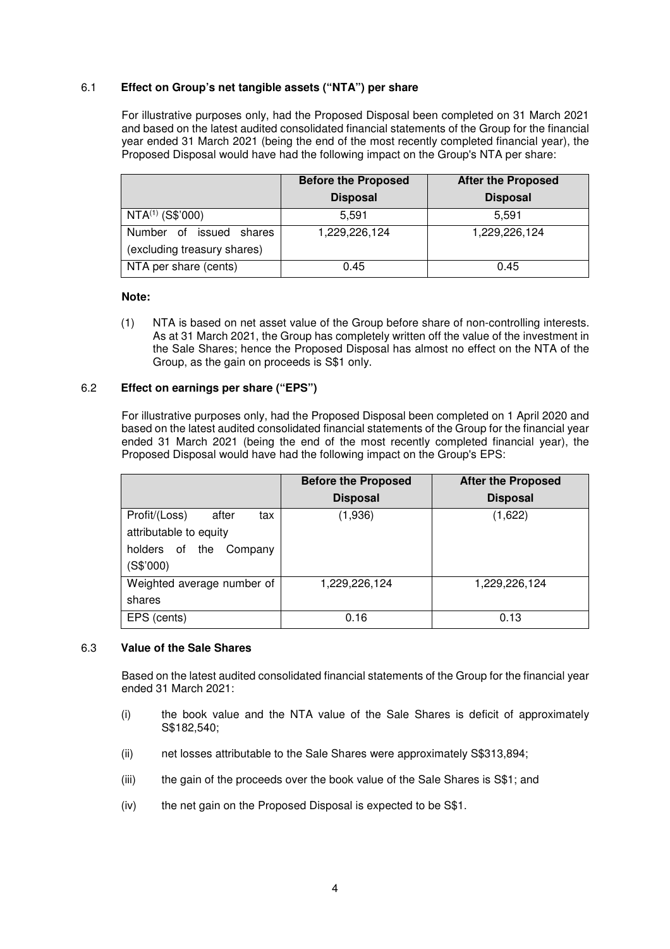### 6.1 **Effect on Group's net tangible assets ("NTA") per share**

For illustrative purposes only, had the Proposed Disposal been completed on 31 March 2021 and based on the latest audited consolidated financial statements of the Group for the financial year ended 31 March 2021 (being the end of the most recently completed financial year), the Proposed Disposal would have had the following impact on the Group's NTA per share:

|                                                              | <b>Before the Proposed</b> | <b>After the Proposed</b> |
|--------------------------------------------------------------|----------------------------|---------------------------|
|                                                              | <b>Disposal</b>            | <b>Disposal</b>           |
| NTA <sup>(1)</sup> (S\$'000)                                 | 5.591                      | 5.591                     |
| Number of<br>issued<br>shares<br>(excluding treasury shares) | 1,229,226,124              | 1,229,226,124             |
| NTA per share (cents)                                        | 0.45                       | 0.45                      |

#### **Note:**

(1) NTA is based on net asset value of the Group before share of non-controlling interests. As at 31 March 2021, the Group has completely written off the value of the investment in the Sale Shares; hence the Proposed Disposal has almost no effect on the NTA of the Group, as the gain on proceeds is S\$1 only.

#### 6.2 **Effect on earnings per share ("EPS")**

For illustrative purposes only, had the Proposed Disposal been completed on 1 April 2020 and based on the latest audited consolidated financial statements of the Group for the financial year ended 31 March 2021 (being the end of the most recently completed financial year), the Proposed Disposal would have had the following impact on the Group's EPS:

|                                                                                                   | <b>Before the Proposed</b> | <b>After the Proposed</b> |
|---------------------------------------------------------------------------------------------------|----------------------------|---------------------------|
|                                                                                                   | <b>Disposal</b>            | <b>Disposal</b>           |
| Profit/(Loss)<br>after<br>tax<br>attributable to equity<br>holders of the<br>Company<br>(S\$'000) | (1,936)                    | (1,622)                   |
| Weighted average number of<br>shares                                                              | 1,229,226,124              | 1,229,226,124             |
| EPS (cents)                                                                                       | 0.16                       | 0.13                      |

#### 6.3 **Value of the Sale Shares**

Based on the latest audited consolidated financial statements of the Group for the financial year ended 31 March 2021:

- (i) the book value and the NTA value of the Sale Shares is deficit of approximately S\$182,540;
- (ii) net losses attributable to the Sale Shares were approximately S\$313,894;
- (iii) the gain of the proceeds over the book value of the Sale Shares is S\$1; and
- (iv) the net gain on the Proposed Disposal is expected to be S\$1.